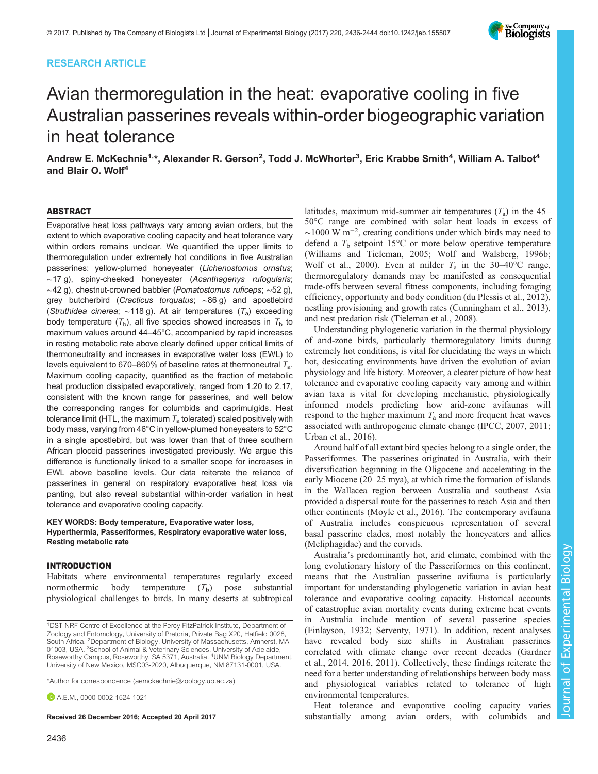## RESEARCH ARTICLE



# Avian thermoregulation in the heat: evaporative cooling in five Australian passerines reveals within-order biogeographic variation in heat tolerance

Andrew E. McKechnie<sup>1,</sup>\*, Alexander R. Gerson<sup>2</sup>, Todd J. McWhorter<sup>3</sup>, Eric Krabbe Smith<sup>4</sup>, William A. Talbot<sup>4</sup> and Blair O. Wolf<sup>4</sup>

#### ABSTRACT

Evaporative heat loss pathways vary among avian orders, but the extent to which evaporative cooling capacity and heat tolerance vary within orders remains unclear. We quantified the upper limits to thermoregulation under extremely hot conditions in five Australian passerines: yellow-plumed honeyeater (Lichenostomus ornatus; ∼17 g), spiny-cheeked honeyeater (Acanthagenys rufogularis; ∼42 g), chestnut-crowned babbler (Pomatostomus ruficeps; ∼52 g), grey butcherbird (Cracticus torquatus; ~86 g) and apostlebird (Struthidea cinerea;  $\sim$ 118 g). At air temperatures (T<sub>a</sub>) exceeding body temperature  $(T_b)$ , all five species showed increases in  $T_b$  to maximum values around 44–45°C, accompanied by rapid increases in resting metabolic rate above clearly defined upper critical limits of thermoneutrality and increases in evaporative water loss (EWL) to levels equivalent to 670–860% of baseline rates at thermoneutral  $T_a$ . Maximum cooling capacity, quantified as the fraction of metabolic heat production dissipated evaporatively, ranged from 1.20 to 2.17, consistent with the known range for passerines, and well below the corresponding ranges for columbids and caprimulgids. Heat tolerance limit (HTL, the maximum  $T_a$  tolerated) scaled positively with body mass, varying from 46°C in yellow-plumed honeyeaters to 52°C in a single apostlebird, but was lower than that of three southern African ploceid passerines investigated previously. We argue this difference is functionally linked to a smaller scope for increases in EWL above baseline levels. Our data reiterate the reliance of passerines in general on respiratory evaporative heat loss via panting, but also reveal substantial within-order variation in heat tolerance and evaporative cooling capacity.

#### KEY WORDS: Body temperature, Evaporative water loss, Hyperthermia, Passeriformes, Respiratory evaporative water loss, Resting metabolic rate

## INTRODUCTION

Habitats where environmental temperatures regularly exceed normothermic body temperature  $(T_b)$  pose substantial physiological challenges to birds. In many deserts at subtropical

\*Author for correspondence [\(aemckechnie@zoology.up.ac.za\)](mailto:aemckechnie@zoology.up.ac.za)

**D** A F M [0000-0002-1524-1021](http://orcid.org/0000-0002-1524-1021)

50°C range are combined with solar heat loads in excess of ∼1000 W m−<sup>2</sup> , creating conditions under which birds may need to defend a  $T<sub>b</sub>$  setpoint 15°C or more below operative temperature [\(Williams and Tieleman, 2005; Wolf and Walsberg, 1996b](#page-8-0); [Wolf et al., 2000](#page-8-0)). Even at milder  $T_a$  in the 30–40°C range, thermoregulatory demands may be manifested as consequential trade-offs between several fitness components, including foraging efficiency, opportunity and body condition ([du Plessis et al., 2012\)](#page-8-0), nestling provisioning and growth rates ([Cunningham et al., 2013\)](#page-8-0), and nest predation risk ([Tieleman et al., 2008](#page-8-0)). Understanding phylogenetic variation in the thermal physiology

latitudes, maximum mid-summer air temperatures  $(T_a)$  in the 45–

of arid-zone birds, particularly thermoregulatory limits during extremely hot conditions, is vital for elucidating the ways in which hot, desiccating environments have driven the evolution of avian physiology and life history. Moreover, a clearer picture of how heat tolerance and evaporative cooling capacity vary among and within avian taxa is vital for developing mechanistic, physiologically informed models predicting how arid-zone avifaunas will respond to the higher maximum  $T_a$  and more frequent heat waves associated with anthropogenic climate change [\(IPCC, 2007](#page-8-0), [2011](#page-8-0); [Urban et al., 2016\)](#page-8-0).

Around half of all extant bird species belong to a single order, the Passeriformes. The passerines originated in Australia, with their diversification beginning in the Oligocene and accelerating in the early Miocene (20–25 mya), at which time the formation of islands in the Wallacea region between Australia and southeast Asia provided a dispersal route for the passerines to reach Asia and then other continents [\(Moyle et al., 2016](#page-8-0)). The contemporary avifauna of Australia includes conspicuous representation of several basal passerine clades, most notably the honeyeaters and allies (Meliphagidae) and the corvids.

Australia's predominantly hot, arid climate, combined with the long evolutionary history of the Passeriformes on this continent, means that the Australian passerine avifauna is particularly important for understanding phylogenetic variation in avian heat tolerance and evaporative cooling capacity. Historical accounts of catastrophic avian mortality events during extreme heat events in Australia include mention of several passerine species [\(Finlayson, 1932; Serventy, 1971](#page-8-0)). In addition, recent analyses have revealed body size shifts in Australian passerines correlated with climate change over recent decades [\(Gardner](#page-8-0) [et al., 2014](#page-8-0), [2016, 2011](#page-8-0)). Collectively, these findings reiterate the need for a better understanding of relationships between body mass and physiological variables related to tolerance of high environmental temperatures.

Heat tolerance and evaporative cooling capacity varies Received 26 December 2016; Accepted 20 April 2017 Substantially among avian orders, with columbids and

<sup>1</sup>DST-NRF Centre of Excellence at the Percy FitzPatrick Institute, Department of Zoology and Entomology, University of Pretoria, Private Bag X20, Hatfield 0028, South Africa. <sup>2</sup> Department of Biology, University of Massachusetts, Amherst, MA 01003, USA. <sup>3</sup> School of Animal & Veterinary Sciences, University of Adelaide, Roseworthy Campus, Roseworthy, SA 5371, Australia. <sup>4</sup>UNM Biology Department, University of New Mexico, MSC03-2020, Albuquerque, NM 87131-0001, USA.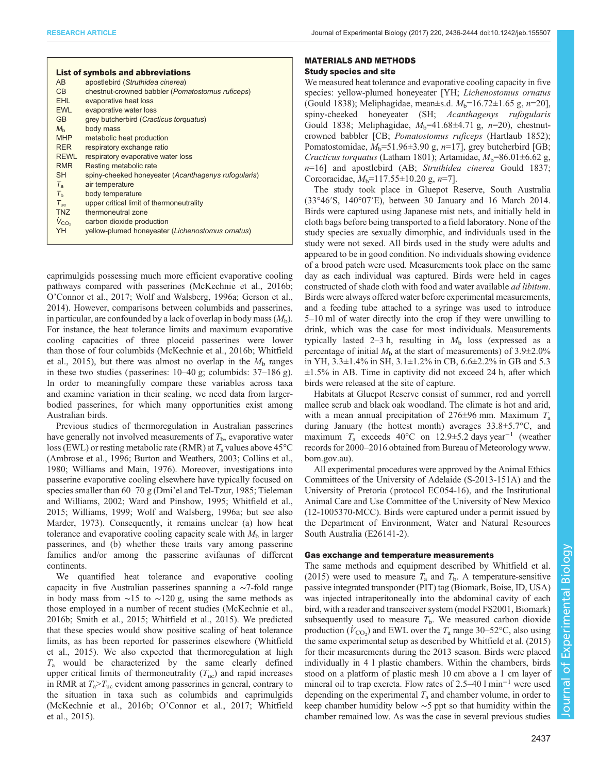| <b>List of symbols and abbreviations</b> |                                                     |  |  |  |  |  |
|------------------------------------------|-----------------------------------------------------|--|--|--|--|--|
| A <sub>B</sub>                           | apostlebird (Struthidea cinerea)                    |  |  |  |  |  |
| C <sub>B</sub>                           | chestnut-crowned babbler (Pomatostomus ruficeps)    |  |  |  |  |  |
| EHL.                                     | evaporative heat loss                               |  |  |  |  |  |
| <b>EWL</b>                               | evaporative water loss                              |  |  |  |  |  |
| GB.                                      | grey butcherbird (Cracticus torquatus)              |  |  |  |  |  |
| $M_h$                                    | body mass                                           |  |  |  |  |  |
| <b>MHP</b>                               | metabolic heat production                           |  |  |  |  |  |
| <b>RFR</b>                               | respiratory exchange ratio                          |  |  |  |  |  |
| <b>RFWI</b>                              | respiratory evaporative water loss                  |  |  |  |  |  |
| <b>RMR</b>                               | Resting metabolic rate                              |  |  |  |  |  |
| SН                                       | spiny-cheeked honeyeater (Acanthagenys rufogularis) |  |  |  |  |  |
| $T_{\rm{a}}$                             | air temperature                                     |  |  |  |  |  |
| $T_{h}$                                  | body temperature                                    |  |  |  |  |  |
| $T_{\text{inc}}$                         | upper critical limit of thermoneutrality            |  |  |  |  |  |
| <b>TNZ</b>                               | thermoneutral zone                                  |  |  |  |  |  |
| $V_{CO2}$                                | carbon dioxide production                           |  |  |  |  |  |
| YH                                       | yellow-plumed honeyeater (Lichenostomus ornatus)    |  |  |  |  |  |
|                                          |                                                     |  |  |  |  |  |

caprimulgids possessing much more efficient evaporative cooling pathways compared with passerines [\(McKechnie et al., 2016b](#page-8-0); O'[Connor et al., 2017; Wolf and Walsberg, 1996a](#page-8-0); [Gerson et al.,](#page-8-0) [2014](#page-8-0)). However, comparisons between columbids and passerines, in particular, are confounded by a lack of overlap in body mass  $(M<sub>b</sub>)$ . For instance, the heat tolerance limits and maximum evaporative cooling capacities of three ploceid passerines were lower than those of four columbids [\(McKechnie et al., 2016b; Whitfield](#page-8-0) [et al., 2015](#page-8-0)), but there was almost no overlap in the  $M<sub>b</sub>$  ranges in these two studies ( passerines: 10–40 g; columbids: 37–186 g). In order to meaningfully compare these variables across taxa and examine variation in their scaling, we need data from largerbodied passerines, for which many opportunities exist among Australian birds.

Previous studies of thermoregulation in Australian passerines have generally not involved measurements of  $T<sub>b</sub>$ , evaporative water loss (EWL) or resting metabolic rate (RMR) at  $T_a$  values above 45°C [\(Ambrose et al., 1996;](#page-7-0) [Burton and Weathers, 2003; Collins et al.,](#page-8-0) [1980](#page-8-0); [Williams and Main, 1976](#page-8-0)). Moreover, investigations into passerine evaporative cooling elsewhere have typically focused on species smaller than 60–70 g (Dmi'[el and Tel-Tzur, 1985](#page-8-0); [Tieleman](#page-8-0) [and Williams, 2002](#page-8-0); [Ward and Pinshow, 1995](#page-8-0); [Whitfield et al.,](#page-8-0) [2015](#page-8-0); [Williams, 1999](#page-8-0); [Wolf and Walsberg, 1996a;](#page-8-0) but see also [Marder, 1973\)](#page-8-0). Consequently, it remains unclear (a) how heat tolerance and evaporative cooling capacity scale with  $M<sub>b</sub>$  in larger passerines, and (b) whether these traits vary among passerine families and/or among the passerine avifaunas of different continents.

We quantified heat tolerance and evaporative cooling capacity in five Australian passerines spanning a ∼7-fold range in body mass from ∼15 to ∼120 g, using the same methods as those employed in a number of recent studies [\(McKechnie et al.,](#page-8-0) [2016b; Smith et al., 2015; Whitfield et al., 2015\)](#page-8-0). We predicted that these species would show positive scaling of heat tolerance limits, as has been reported for passerines elsewhere [\(Whitfield](#page-8-0) [et al., 2015\)](#page-8-0). We also expected that thermoregulation at high  $T_a$  would be characterized by the same clearly defined upper critical limits of thermoneutrality  $(T_{uc})$  and rapid increases in RMR at  $T_a > T_{uc}$  evident among passerines in general, contrary to the situation in taxa such as columbids and caprimulgids [\(McKechnie et al., 2016b;](#page-8-0) O'[Connor et al., 2017; Whitfield](#page-8-0) [et al., 2015\)](#page-8-0).

# MATERIALS AND METHODS

## Study species and site

We measured heat tolerance and evaporative cooling capacity in five species: yellow-plumed honeyeater [YH; *Lichenostomus ornatus* (Gould 1838); Meliphagidae, mean±s.d.  $M_b=16.72\pm1.65$  g, n=20], spiny-cheeked honeyeater (SH; Acanthagenys rufogularis Gould 1838; Meliphagidae,  $M_b$ =41.68±4.71 g, n=20), chestnutcrowned babbler [CB; Pomatostomus ruficeps (Hartlaub 1852); Pomatostomidae,  $M_b = 51.96 \pm 3.90$  g,  $n=17$ ], grey butcherbird [GB; Cracticus torquatus (Latham 1801); Artamidae,  $M_b$ =86.01±6.62 g,  $n=16$ ] and apostlebird (AB; Struthidea cinerea Gould 1837; Corcoracidae,  $M_b=117.55\pm10.20$  g,  $n=7$ ].

The study took place in Gluepot Reserve, South Australia (33°46′S, 140°07′E), between 30 January and 16 March 2014. Birds were captured using Japanese mist nets, and initially held in cloth bags before being transported to a field laboratory. None of the study species are sexually dimorphic, and individuals used in the study were not sexed. All birds used in the study were adults and appeared to be in good condition. No individuals showing evidence of a brood patch were used. Measurements took place on the same day as each individual was captured. Birds were held in cages constructed of shade cloth with food and water available ad libitum. Birds were always offered water before experimental measurements, and a feeding tube attached to a syringe was used to introduce 5–10 ml of water directly into the crop if they were unwilling to drink, which was the case for most individuals. Measurements typically lasted 2–3 h, resulting in  $M<sub>b</sub>$  loss (expressed as a percentage of initial  $M<sub>b</sub>$  at the start of measurements) of 3.9 $\pm$ 2.0% in YH, 3.3±1.4% in SH, 3.1±1.2% in CB, 6.6±2.2% in GB and 5.3  $\pm 1.5\%$  in AB. Time in captivity did not exceed 24 h, after which birds were released at the site of capture.

Habitats at Gluepot Reserve consist of summer, red and yorrell mallee scrub and black oak woodland. The climate is hot and arid, with a mean annual precipitation of  $276\pm96$  mm. Maximum  $T_a$ during January (the hottest month) averages 33.8±5.7°C, and maximum  $T_a$  exceeds 40°C on 12.9±5.2 days year<sup>-1</sup> (weather records for 2000–2016 obtained from Bureau of Meteorology [www.](http://www.bom.gov.au) [bom.gov.au\)](http://www.bom.gov.au).

All experimental procedures were approved by the Animal Ethics Committees of the University of Adelaide (S-2013-151A) and the University of Pretoria ( protocol EC054-16), and the Institutional Animal Care and Use Committee of the University of New Mexico (12-1005370-MCC). Birds were captured under a permit issued by the Department of Environment, Water and Natural Resources South Australia (E26141-2).

#### Gas exchange and temperature measurements

The same methods and equipment described by [Whitfield et al.](#page-8-0) [\(2015\)](#page-8-0) were used to measure  $T_a$  and  $T_b$ . A temperature-sensitive passive integrated transponder (PIT) tag (Biomark, Boise, ID, USA) was injected intraperitoneally into the abdominal cavity of each bird, with a reader and transceiver system (model FS2001, Biomark) subsequently used to measure  $T<sub>b</sub>$ . We measured carbon dioxide production ( $\dot{V}_{\text{CO}_2}$ ) and EWL over the  $T_a$  range 30–52°C, also using the same experimental setup as described by [Whitfield et al. \(2015\)](#page-8-0) for their measurements during the 2013 season. Birds were placed individually in 4 l plastic chambers. Within the chambers, birds stood on a platform of plastic mesh 10 cm above a 1 cm layer of mineral oil to trap excreta. Flow rates of 2.5–40 l min−<sup>1</sup> were used depending on the experimental  $T_a$  and chamber volume, in order to keep chamber humidity below ∼5 ppt so that humidity within the chamber remained low. As was the case in several previous studies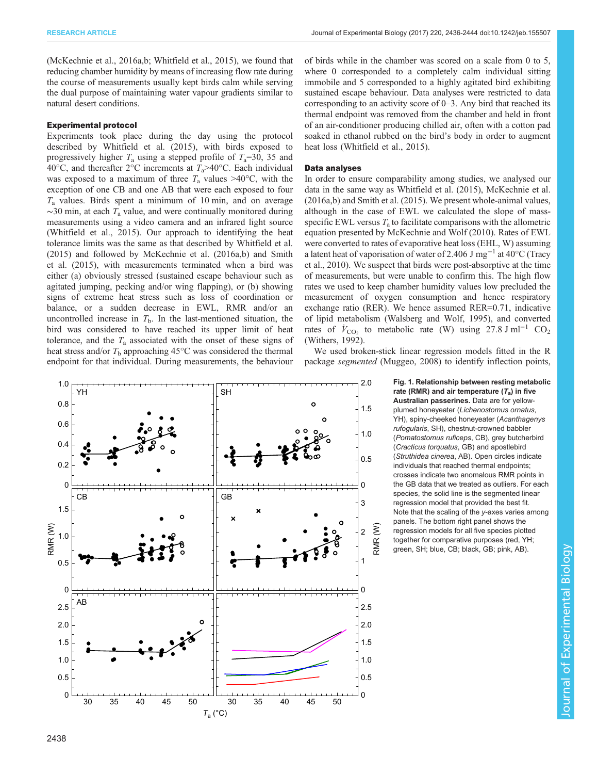<span id="page-2-0"></span>[\(McKechnie et al., 2016a,b](#page-8-0); [Whitfield et al., 2015](#page-8-0)), we found that reducing chamber humidity by means of increasing flow rate during the course of measurements usually kept birds calm while serving the dual purpose of maintaining water vapour gradients similar to natural desert conditions.

#### Experimental protocol

Experiments took place during the day using the protocol described by [Whitfield et al. \(2015\)](#page-8-0), with birds exposed to progressively higher  $T_a$  using a stepped profile of  $T_a=30$ , 35 and 40°C, and thereafter 2°C increments at  $T_a$ >40°C. Each individual was exposed to a maximum of three  $T_a$  values >40°C, with the exception of one CB and one AB that were each exposed to four  $T_a$  values. Birds spent a minimum of 10 min, and on average  $\sim$ 30 min, at each  $T_a$  value, and were continually monitored during measurements using a video camera and an infrared light source [\(Whitfield et al., 2015\)](#page-8-0). Our approach to identifying the heat tolerance limits was the same as that described by [Whitfield et al.](#page-8-0) [\(2015\)](#page-8-0) and followed by [McKechnie et al. \(2016a](#page-8-0),[b\)](#page-8-0) and [Smith](#page-8-0) [et al. \(2015\),](#page-8-0) with measurements terminated when a bird was either (a) obviously stressed (sustained escape behaviour such as agitated jumping, pecking and/or wing flapping), or (b) showing signs of extreme heat stress such as loss of coordination or balance, or a sudden decrease in EWL, RMR and/or an uncontrolled increase in  $T<sub>b</sub>$ . In the last-mentioned situation, the bird was considered to have reached its upper limit of heat tolerance, and the  $T_a$  associated with the onset of these signs of heat stress and/or  $T<sub>b</sub>$  approaching 45°C was considered the thermal endpoint for that individual. During measurements, the behaviour

of birds while in the chamber was scored on a scale from 0 to 5, where 0 corresponded to a completely calm individual sitting immobile and 5 corresponded to a highly agitated bird exhibiting sustained escape behaviour. Data analyses were restricted to data corresponding to an activity score of 0–3. Any bird that reached its thermal endpoint was removed from the chamber and held in front of an air-conditioner producing chilled air, often with a cotton pad soaked in ethanol rubbed on the bird's body in order to augment heat loss ([Whitfield et al., 2015](#page-8-0)).

#### Data analyses

In order to ensure comparability among studies, we analysed our data in the same way as [Whitfield et al. \(2015\), McKechnie et al.](#page-8-0) [\(2016a](#page-8-0),[b\)](#page-8-0) and [Smith et al. \(2015\).](#page-8-0) We present whole-animal values, although in the case of EWL we calculated the slope of massspecific EWL versus  $T_a$  to facilitate comparisons with the allometric equation presented by [McKechnie and Wolf \(2010\).](#page-8-0) Rates of EWL were converted to rates of evaporative heat loss (EHL, W) assuming a latent heat of vaporisation of water of 2.406 J mg−<sup>1</sup> at 40°C ([Tracy](#page-8-0) [et al., 2010\)](#page-8-0). We suspect that birds were post-absorptive at the time of measurements, but were unable to confirm this. The high flow rates we used to keep chamber humidity values low precluded the measurement of oxygen consumption and hence respiratory exchange ratio (RER). We hence assumed RER=0.71, indicative of lipid metabolism ([Walsberg and Wolf, 1995](#page-8-0)), and converted rates of  $\dot{V}_{\text{CO}_2}$  to metabolic rate (W) using 27.8 J ml<sup>-1</sup> CO<sub>2</sub> [\(Withers, 1992\)](#page-8-0).

We used broken-stick linear regression models fitted in the R package segmented ([Muggeo, 2008](#page-8-0)) to identify inflection points,

> Fig. 1. Relationship between resting metabolic rate (RMR) and air temperature  $(T_a)$  in five Australian passerines. Data are for yellowplumed honeyeater (Lichenostomus ornatus, YH), spiny-cheeked honeyeater (Acanthagenys rufogularis, SH), chestnut-crowned babbler (Pomatostomus ruficeps, CB), grey butcherbird (Cracticus torquatus, GB) and apostlebird (Struthidea cinerea, AB). Open circles indicate individuals that reached thermal endpoints; crosses indicate two anomalous RMR points in the GB data that we treated as outliers. For each species, the solid line is the segmented linear regression model that provided the best fit. Note that the scaling of the y-axes varies among panels. The bottom right panel shows the regression models for all five species plotted together for comparative purposes (red, YH; green, SH; blue, CB; black, GB; pink, AB).

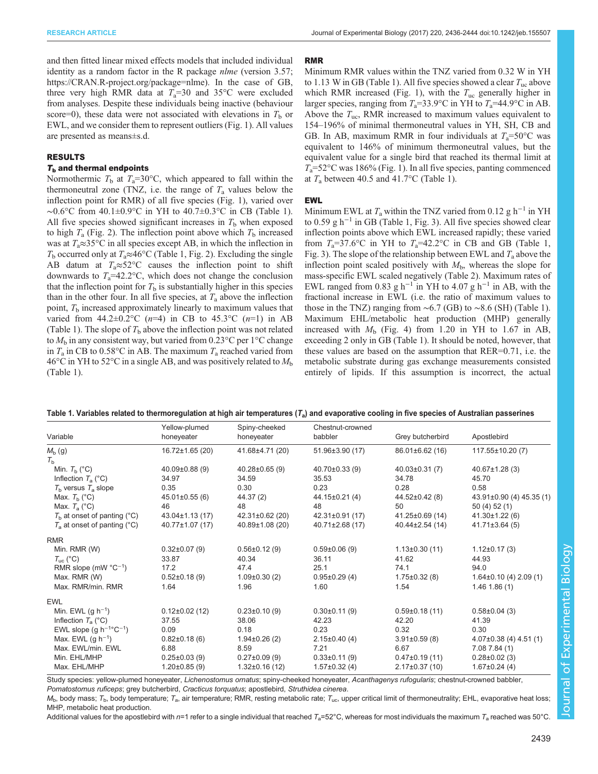<span id="page-3-0"></span>and then fitted linear mixed effects models that included individual identity as a random factor in the R package *nlme* (version 3.57; [https://CRAN.R-project.org/package=nlme\)](https://CRAN.R-project.org/package=nlme). In the case of GB, three very high RMR data at  $T_a=30$  and 35°C were excluded from analyses. Despite these individuals being inactive (behaviour score=0), these data were not associated with elevations in  $T<sub>b</sub>$  or EWL, and we consider them to represent outliers [\(Fig. 1\)](#page-2-0). All values are presented as means±s.d.

#### RESULTS

## $T<sub>b</sub>$  and thermal endpoints

Normothermic  $T<sub>b</sub>$  at  $T<sub>a</sub>=30$ °C, which appeared to fall within the thermoneutral zone (TNZ, i.e. the range of  $T_a$  values below the inflection point for RMR) of all five species ([Fig. 1](#page-2-0)), varied over ∼0.6°C from 40.1±0.9°C in YH to 40.7±0.3°C in CB (Table 1). All five species showed significant increases in  $T<sub>b</sub>$  when exposed to high  $T_a$  [\(Fig. 2\)](#page-4-0). The inflection point above which  $T_b$  increased was at  $T_a \approx 35$ °C in all species except AB, in which the inflection in  $T_b$  occurred only at  $T_a \approx 46^{\circ}$ C (Table 1, [Fig. 2](#page-4-0)). Excluding the single AB datum at  $T_a \approx 52^{\circ}\text{C}$  causes the inflection point to shift downwards to  $T_a=42.2$ °C, which does not change the conclusion that the inflection point for  $T<sub>b</sub>$  is substantially higher in this species than in the other four. In all five species, at  $T_a$  above the inflection point,  $T<sub>b</sub>$  increased approximately linearly to maximum values that varied from 44.2±0.2°C ( $n=4$ ) in CB to 45.3°C ( $n=1$ ) in AB (Table 1). The slope of  $T<sub>b</sub>$  above the inflection point was not related to  $M<sub>b</sub>$  in any consistent way, but varied from 0.23°C per 1°C change in  $T_a$  in CB to 0.58°C in AB. The maximum  $T_a$  reached varied from 46°C in YH to 52°C in a single AB, and was positively related to  $M<sub>b</sub>$ (Table 1).

#### RMR

Minimum RMR values within the TNZ varied from 0.32 W in YH to 1.13 W in GB (Table 1). All five species showed a clear  $T_{\text{uc}}$  above which RMR increased ([Fig. 1\)](#page-2-0), with the  $T_{\text{uc}}$  generally higher in larger species, ranging from  $T_a=33.9$ °C in YH to  $T_a=44.9$ °C in AB. Above the  $T_{\text{uc}}$ , RMR increased to maximum values equivalent to 154–196% of minimal thermoneutral values in YH, SH, CB and GB. In AB, maximum RMR in four individuals at  $T_a=50^{\circ}$ C was equivalent to 146% of minimum thermoneutral values, but the equivalent value for a single bird that reached its thermal limit at  $T_a$ =52°C was 186% ([Fig. 1](#page-2-0)). In all five species, panting commenced at  $T_a$  between 40.5 and 41.7°C (Table 1).

## EWL

Minimum EWL at  $T_a$  within the TNZ varied from 0.12 g h<sup>-1</sup> in YH to 0.59 g h<sup>-1</sup> in GB (Table 1, [Fig. 3\)](#page-5-0). All five species showed clear inflection points above which EWL increased rapidly; these varied from  $T_a=37.6$ °C in YH to  $T_a=42.2$ °C in CB and GB (Table 1, [Fig. 3\)](#page-5-0). The slope of the relationship between EWL and  $T_a$  above the inflection point scaled positively with  $M<sub>b</sub>$ , whereas the slope for mass-specific EWL scaled negatively ([Table 2\)](#page-4-0). Maximum rates of EWL ranged from 0.83 g h<sup>-1</sup> in YH to 4.07 g h<sup>-1</sup> in AB, with the fractional increase in EWL (i.e. the ratio of maximum values to those in the TNZ) ranging from  $\sim$  6.7 (GB) to  $\sim$ 8.6 (SH) (Table 1). Maximum EHL/metabolic heat production (MHP) generally increased with  $M<sub>b</sub>$  ([Fig. 4](#page-6-0)) from 1.20 in YH to 1.67 in AB, exceeding 2 only in GB (Table 1). It should be noted, however, that these values are based on the assumption that RER=0.71, i.e. the metabolic substrate during gas exchange measurements consisted entirely of lipids. If this assumption is incorrect, the actual

|                                          | Yellow-plumed        | Spiny-cheeked         | Chestnut-crowned      |                       |                              |
|------------------------------------------|----------------------|-----------------------|-----------------------|-----------------------|------------------------------|
| Variable                                 | honeyeater           | honeyeater            | babbler               | Grey butcherbird      | Apostlebird                  |
| $M_{\rm b}$ (g)                          | 16.72±1.65 (20)      | 41.68±4.71 (20)       | 51.96±3.90 (17)       | $86.01 \pm 6.62$ (16) | 117.55±10.20(7)              |
| $T_{\rm b}$                              |                      |                       |                       |                       |                              |
| Min. $T_{\rm b}$ (°C)                    | $40.09\pm0.88(9)$    | $40.28 \pm 0.65$ (9)  | $40.70 \pm 0.33$ (9)  | $40.03 \pm 0.31(7)$   | $40.67 \pm 1.28$ (3)         |
| Inflection $T_a$ (°C)                    | 34.97                | 34.59                 | 35.53                 | 34.78                 | 45.70                        |
| $T_{\rm b}$ versus $T_{\rm a}$ slope     | 0.35                 | 0.30                  | 0.23                  | 0.28                  | 0.58                         |
| Max. $T_{\rm b}$ (°C)                    | $45.01 \pm 0.55$ (6) | 44.37 (2)             | $44.15 \pm 0.21(4)$   | $44.52\pm0.42(8)$     | 43.91±0.90 (4) 45.35 (1)     |
| Max. $T_a$ (°C)                          | 46                   | 48                    | 48                    | 50                    | 50(4)52(1)                   |
| $Tb$ at onset of panting (°C)            | $43.04 \pm 1.13(17)$ | $42.31 \pm 0.62$ (20) | $42.31 \pm 0.91(17)$  | 41.25±0.69 (14)       | $41.30 \pm 1.22$ (6)         |
| $T_a$ at onset of panting (°C)           | 40.77±1.07 (17)      | 40.89±1.08 (20)       | $40.71 \pm 2.68$ (17) | $40.44\pm2.54(14)$    | $41.71 \pm 3.64(5)$          |
| <b>RMR</b>                               |                      |                       |                       |                       |                              |
| Min. RMR (W)                             | $0.32\pm0.07(9)$     | $0.56 \pm 0.12$ (9)   | $0.59 \pm 0.06$ (9)   | $1.13\pm0.30(11)$     | $1.12 \pm 0.17(3)$           |
| $T_{\text{uc}}$ (°C)                     | 33.87                | 40.34                 | 36.11                 | 41.62                 | 44.93                        |
| RMR slope (mW $°C^{-1}$ )                | 17.2                 | 47.4                  | 25.1                  | 74.1                  | 94.0                         |
| Max. RMR (W)                             | $0.52 \pm 0.18(9)$   | $1.09\pm0.30(2)$      | $0.95 \pm 0.29$ (4)   | $1.75 \pm 0.32$ (8)   | $1.64 \pm 0.10$ (4) 2.09 (1) |
| Max. RMR/min. RMR                        | 1.64                 | 1.96                  | 1.60                  | 1.54                  | $1.46$ 1.86 (1)              |
| <b>EWL</b>                               |                      |                       |                       |                       |                              |
| Min. EWL $(g h^{-1})$                    | $0.12\pm0.02$ (12)   | $0.23 \pm 0.10(9)$    | $0.30\pm0.11(9)$      | $0.59 \pm 0.18(11)$   | $0.58 \pm 0.04$ (3)          |
| Inflection $T_a$ (°C)                    | 37.55                | 38.06                 | 42.23                 | 42.20                 | 41.39                        |
| EWL slope (g $h^{-1}$ °C <sup>-1</sup> ) | 0.09                 | 0.18                  | 0.23                  | 0.32                  | 0.30                         |
| Max. EWL $(q h^{-1})$                    | $0.82\pm0.18(6)$     | $1.94\pm0.26(2)$      | $2.15\pm0.40(4)$      | $3.91 \pm 0.59$ (8)   | $4.07\pm0.38$ (4) $4.51$ (1) |
| Max. EWL/min. EWL                        | 6.88                 | 8.59                  | 7.21                  | 6.67                  | 7.087.84(1)                  |
| Min. EHL/MHP                             | $0.25 \pm 0.03$ (9)  | $0.27 \pm 0.09$ (9)   | $0.33\pm0.11(9)$      | $0.47\pm0.19(11)$     | $0.28 \pm 0.02$ (3)          |
| Max. EHL/MHP                             | $1.20\pm0.85(9)$     | $1.32\pm0.16(12)$     | $1.57 \pm 0.32$ (4)   | $2.17\pm0.37(10)$     | $1.67 \pm 0.24$ (4)          |

| Table 1. Variables related to thermoregulation at high air temperatures $(T_a)$ and evaporative cooling in five species of Australian passerines |  |
|--------------------------------------------------------------------------------------------------------------------------------------------------|--|
|--------------------------------------------------------------------------------------------------------------------------------------------------|--|

Study species: yellow-plumed honeyeater, Lichenostomus ornatus; spiny-cheeked honeyeater, Acanthagenys rufogularis; chestnut-crowned babbler, Pomatostomus ruficeps; grey butcherbird, Cracticus torquatus; apostlebird, Struthidea cinerea.

 $M_b$ , body mass; T<sub>b</sub>, body temperature; T<sub>a</sub>, air temperature; RMR, resting metabolic rate; T<sub>uc</sub>, upper critical limit of thermoneutrality; EHL, evaporative heat loss MHP, metabolic heat production.

Additional values for the apostlebird with  $n=1$  refer to a single individual that reached  $T_a=52^{\circ}$ C, whereas for most individuals the maximum  $T_a$  reached was 50°C.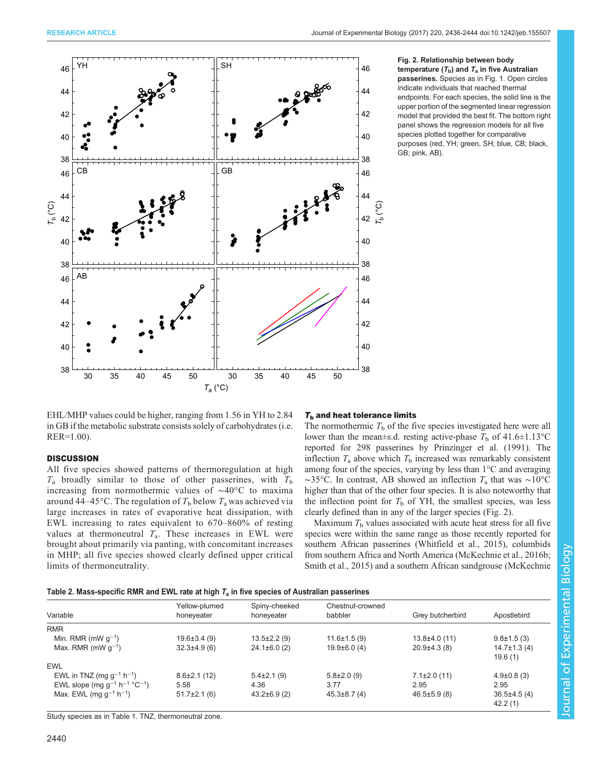<span id="page-4-0"></span>

#### Fig. 2. Relationship between body temperature  $(T_b)$  and  $T_a$  in five Australian passerines. Species as in [Fig. 1](#page-2-0). Open circles indicate individuals that reached thermal endpoints. For each species, the solid line is the upper portion of the segmented linear regression model that provided the best fit. The bottom right panel shows the regression models for all five species plotted together for comparative purposes (red, YH; green, SH; blue, CB; black, GB; pink, AB).

EHL/MHP values could be higher, ranging from 1.56 in YH to 2.84 in GB if the metabolic substrate consists solely of carbohydrates (i.e. RER=1.00).

## **DISCUSSION**

All five species showed patterns of thermoregulation at high  $T_a$  broadly similar to those of other passerines, with  $T_b$ increasing from normothermic values of ∼40°C to maxima around 44–45°C. The regulation of  $T_b$  below  $T_a$  was achieved via large increases in rates of evaporative heat dissipation, with EWL increasing to rates equivalent to 670–860% of resting values at thermoneutral  $T_a$ . These increases in EWL were brought about primarily via panting, with concomitant increases in MHP; all five species showed clearly defined upper critical limits of thermoneutrality.

## $T<sub>b</sub>$  and heat tolerance limits

The normothermic  $T<sub>b</sub>$  of the five species investigated here were all lower than the mean±s.d. resting active-phase  $T_b$  of 41.6±1.13°C reported for 298 passerines by [Prinzinger et al. \(1991\)](#page-8-0). The inflection  $T_a$  above which  $T_b$  increased was remarkably consistent among four of the species, varying by less than 1°C and averaging  $\sim$ 35°C. In contrast, AB showed an inflection  $T_a$  that was ~10°C higher than that of the other four species. It is also noteworthy that the inflection point for  $T<sub>b</sub>$  of YH, the smallest species, was less clearly defined than in any of the larger species (Fig. 2).

Maximum  $T<sub>b</sub>$  values associated with acute heat stress for all five species were within the same range as those recently reported for southern African passerines [\(Whitfield et al., 2015\)](#page-8-0), columbids from southern Africa and North America [\(McKechnie et al., 2016b](#page-8-0); [Smith et al., 2015\)](#page-8-0) and a southern African sandgrouse ([McKechnie](#page-8-0)

| Table 2. Mass-specific RMR and EWL rate at high $T_a$ in five species of Australian passerines |  |  |  |  |  |
|------------------------------------------------------------------------------------------------|--|--|--|--|--|
|------------------------------------------------------------------------------------------------|--|--|--|--|--|

| Variable                                                  | Yellow-plumed<br>honeyeater | Spiny-cheeked<br>honeyeater | Chestnut-crowned<br>babbler | Grey butcherbird   | Apostlebird        |
|-----------------------------------------------------------|-----------------------------|-----------------------------|-----------------------------|--------------------|--------------------|
| <b>RMR</b>                                                |                             |                             |                             |                    |                    |
| Min. RMR (mW $q^{-1}$ )                                   | $19.6 \pm 3.4(9)$           | $13.5 \pm 2.2$ (9)          | $11.6 \pm 1.5(9)$           | $13.8 \pm 4.0(11)$ | $9.8 \pm 1.5(3)$   |
| Max. RMR (mW $q^{-1}$ )                                   | $32.3 \pm 4.9$ (6)          | $24.1 \pm 6.0$ (2)          | $19.9\pm 6.0(4)$            | $20.9\pm4.3(8)$    | $14.7 \pm 1.3$ (4) |
|                                                           |                             |                             |                             |                    | 19.6(1)            |
| <b>EWL</b>                                                |                             |                             |                             |                    |                    |
| EWL in TNZ (mg $g^{-1}$ h <sup>-1</sup> )                 | $8.6 \pm 2.1(12)$           | $5.4\pm2.1(9)$              | $5.8\pm2.0(9)$              | $7.1 \pm 2.0$ (11) | $4.9 \pm 0.8$ (3)  |
| EWL slope (mg $g^{-1}$ h <sup>-1</sup> °C <sup>-1</sup> ) | 5.58                        | 4.36                        | 3.77                        | 2.95               | 2.95               |
| Max. EWL (mg $g^{-1}$ h <sup>-1</sup> )                   | $51.7 \pm 2.1$ (6)          | $43.2\pm6.9(2)$             | $45.3\pm8.7(4)$             | $46.5 \pm 5.9(8)$  | $36.5\pm4.5(4)$    |
|                                                           |                             |                             |                             |                    | 42.2(1)            |

Study species as in [Table 1](#page-3-0). TNZ, thermoneutral zone.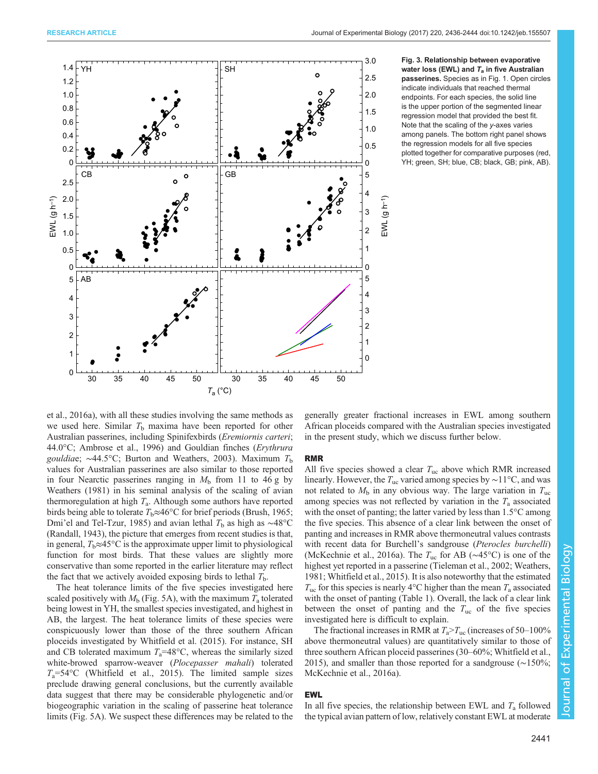<span id="page-5-0"></span>

Fig. 3. Relationship between evaporative water loss (EWL) and  $T_a$  in five Australian passerines. Species as in [Fig. 1.](#page-2-0) Open circles indicate individuals that reached thermal endpoints. For each species, the solid line is the upper portion of the segmented linear regression model that provided the best fit. Note that the scaling of the y-axes varies among panels. The bottom right panel shows the regression models for all five species plotted together for comparative purposes (red, YH; green, SH; blue, CB; black, GB; pink, AB).

[et al., 2016a](#page-8-0)), with all these studies involving the same methods as we used here. Similar  $T<sub>b</sub>$  maxima have been reported for other Australian passerines, including Spinifexbirds (Eremiornis carteri; 44.0°C; [Ambrose et al., 1996\)](#page-7-0) and Gouldian finches (Erythrura gouldiae;  $\sim$ 44.5°C; [Burton and Weathers, 2003\)](#page-8-0). Maximum T<sub>b</sub> values for Australian passerines are also similar to those reported in four Nearctic passerines ranging in  $M<sub>b</sub>$  from 11 to 46 g by [Weathers \(1981\)](#page-8-0) in his seminal analysis of the scaling of avian thermoregulation at high  $T_a$ . Although some authors have reported birds being able to tolerate  $T_b \approx 46^{\circ}$ C for brief periods [\(Brush, 1965](#page-8-0); Dmi'[el and Tel-Tzur, 1985](#page-8-0)) and avian lethal  $T<sub>b</sub>$  as high as ~48°C [\(Randall, 1943\)](#page-8-0), the picture that emerges from recent studies is that, in general,  $T_b \approx 45^{\circ}$ C is the approximate upper limit to physiological function for most birds. That these values are slightly more conservative than some reported in the earlier literature may reflect the fact that we actively avoided exposing birds to lethal  $T<sub>b</sub>$ .

The heat tolerance limits of the five species investigated here scaled positively with  $M_b$  [\(Fig. 5](#page-7-0)A), with the maximum  $T_a$  tolerated being lowest in YH, the smallest species investigated, and highest in AB, the largest. The heat tolerance limits of these species were conspicuously lower than those of the three southern African ploceids investigated by [Whitfield et al. \(2015\)](#page-8-0). For instance, SH and CB tolerated maximum  $T_a=48\degree C$ , whereas the similarly sized white-browed sparrow-weaver (Plocepasser mahali) tolerated  $T_a$ =54°C ([Whitfield et al., 2015\)](#page-8-0). The limited sample sizes preclude drawing general conclusions, but the currently available data suggest that there may be considerable phylogenetic and/or biogeographic variation in the scaling of passerine heat tolerance limits ([Fig. 5A](#page-7-0)). We suspect these differences may be related to the generally greater fractional increases in EWL among southern African ploceids compared with the Australian species investigated in the present study, which we discuss further below.

## RMR

All five species showed a clear  $T_{\text{uc}}$  above which RMR increased linearly. However, the Tuc varied among species by ∼11°C, and was not related to  $M<sub>b</sub>$  in any obvious way. The large variation in  $T<sub>uc</sub>$ among species was not reflected by variation in the  $T_a$  associated with the onset of panting; the latter varied by less than 1.5<sup>o</sup>C among the five species. This absence of a clear link between the onset of panting and increases in RMR above thermoneutral values contrasts with recent data for Burchell's sandgrouse (Pterocles burchelli) [\(McKechnie et al., 2016a](#page-8-0)). The Tuc for AB (∼45°C) is one of the highest yet reported in a passerine [\(Tieleman et al., 2002](#page-8-0); [Weathers,](#page-8-0) [1981; Whitfield et al., 2015](#page-8-0)). It is also noteworthy that the estimated  $T_{\text{uc}}$  for this species is nearly 4°C higher than the mean  $T_a$  associated with the onset of panting ([Table 1\)](#page-3-0). Overall, the lack of a clear link between the onset of panting and the  $T_{\text{uc}}$  of the five species investigated here is difficult to explain.

The fractional increases in RMR at  $T_a > T_{\text{uc}}$  (increases of 50–100%) above thermoneutral values) are quantitatively similar to those of three southern African ploceid passerines (30–60%; [Whitfield et al.,](#page-8-0) [2015\)](#page-8-0), and smaller than those reported for a sandgrouse (∼150%; [McKechnie et al., 2016a](#page-8-0)).

## EWL

In all five species, the relationship between EWL and  $T_a$  followed the typical avian pattern of low, relatively constant EWL at moderate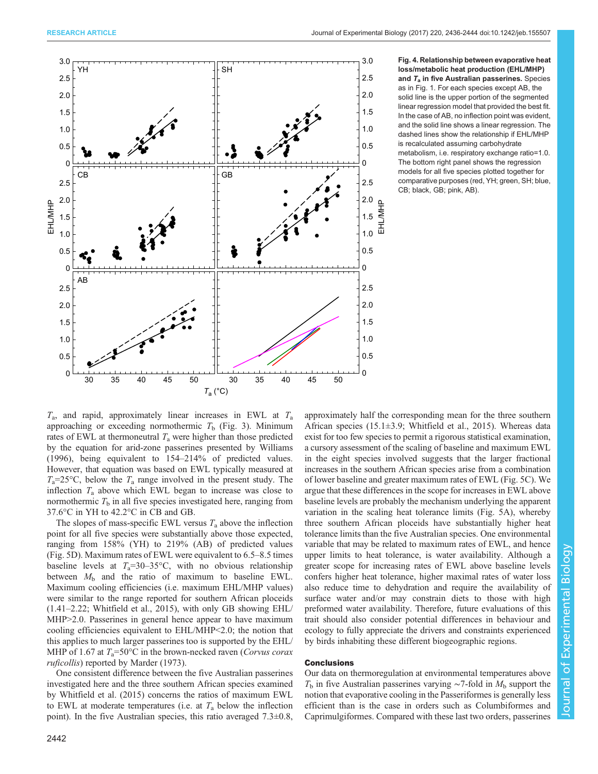<span id="page-6-0"></span>

Fig. 4. Relationship between evaporative heat loss/metabolic heat production (EHL/MHP) and  $T_a$  in five Australian passerines. Species as in [Fig. 1](#page-2-0). For each species except AB, the solid line is the upper portion of the segmented linear regression model that provided the best fit. In the case of AB, no inflection point was evident, and the solid line shows a linear regression. The dashed lines show the relationship if EHL/MHP is recalculated assuming carbohydrate metabolism, i.e. respiratory exchange ratio=1.0. The bottom right panel shows the regression models for all five species plotted together for comparative purposes (red, YH; green, SH; blue, CB; black, GB; pink, AB).

 $T_a$ , and rapid, approximately linear increases in EWL at  $T_a$ approaching or exceeding normothermic  $T<sub>b</sub>$  ([Fig. 3](#page-5-0)). Minimum rates of EWL at thermoneutral  $T_a$  were higher than those predicted by the equation for arid-zone passerines presented by [Williams](#page-8-0) [\(1996\)](#page-8-0), being equivalent to 154–214% of predicted values. However, that equation was based on EWL typically measured at  $T_a=25\textdegree C$ , below the  $T_a$  range involved in the present study. The inflection  $T_a$  above which EWL began to increase was close to normothermic  $T<sub>b</sub>$  in all five species investigated here, ranging from 37.6°C in YH to 42.2°C in CB and GB.

The slopes of mass-specific EWL versus  $T_a$  above the inflection point for all five species were substantially above those expected, ranging from 158% (YH) to 219% (AB) of predicted values [\(Fig. 5D](#page-7-0)). Maximum rates of EWL were equivalent to 6.5–8.5 times baseline levels at  $T_a=30-35\text{°C}$ , with no obvious relationship between  $M<sub>b</sub>$  and the ratio of maximum to baseline EWL. Maximum cooling efficiencies (i.e. maximum EHL/MHP values) were similar to the range reported for southern African ploceids (1.41–2.22; [Whitfield et al., 2015](#page-8-0)), with only GB showing EHL/ MHP>2.0. Passerines in general hence appear to have maximum cooling efficiencies equivalent to EHL/MHP<2.0; the notion that this applies to much larger passerines too is supported by the EHL/ MHP of 1.67 at  $T_a = 50^{\circ}\text{C}$  in the brown-necked raven (*Corvus corax*) ruficollis) reported by [Marder \(1973\)](#page-8-0).

One consistent difference between the five Australian passerines investigated here and the three southern African species examined by [Whitfield et al. \(2015\)](#page-8-0) concerns the ratios of maximum EWL to EWL at moderate temperatures (i.e. at  $T_a$  below the inflection point). In the five Australian species, this ratio averaged  $7.3\pm0.8$ ,

African species (15.1±3.9; [Whitfield et al., 2015\)](#page-8-0). Whereas data exist for too few species to permit a rigorous statistical examination, a cursory assessment of the scaling of baseline and maximum EWL in the eight species involved suggests that the larger fractional increases in the southern African species arise from a combination of lower baseline and greater maximum rates of EWL ([Fig. 5C](#page-7-0)). We argue that these differences in the scope for increases in EWL above baseline levels are probably the mechanism underlying the apparent variation in the scaling heat tolerance limits ([Fig. 5A](#page-7-0)), whereby three southern African ploceids have substantially higher heat tolerance limits than the five Australian species. One environmental variable that may be related to maximum rates of EWL, and hence upper limits to heat tolerance, is water availability. Although a greater scope for increasing rates of EWL above baseline levels confers higher heat tolerance, higher maximal rates of water loss also reduce time to dehydration and require the availability of surface water and/or may constrain diets to those with high preformed water availability. Therefore, future evaluations of this trait should also consider potential differences in behaviour and ecology to fully appreciate the drivers and constraints experienced by birds inhabiting these different biogeographic regions.

approximately half the corresponding mean for the three southern

## Conclusions

Our data on thermoregulation at environmental temperatures above  $T<sub>b</sub>$  in five Australian passerines varying ~7-fold in  $M<sub>b</sub>$  support the notion that evaporative cooling in the Passeriformes is generally less efficient than is the case in orders such as Columbiformes and Caprimulgiformes. Compared with these last two orders, passerines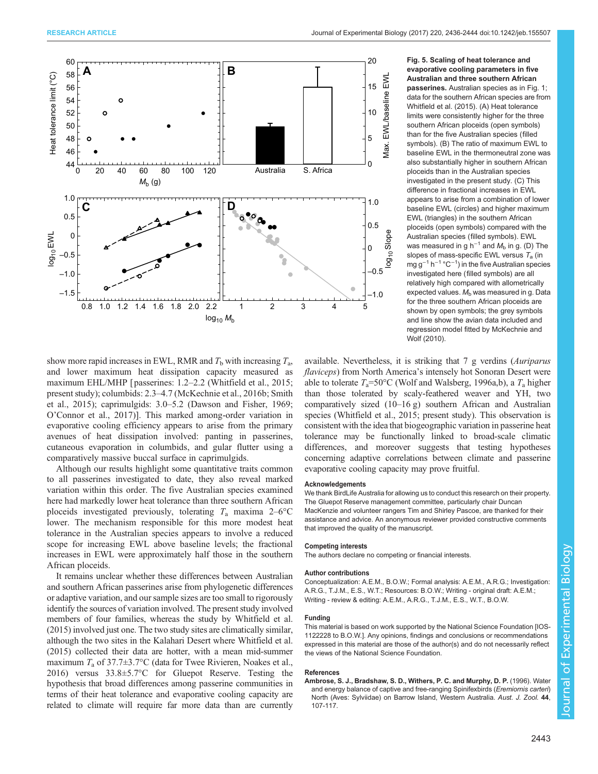<span id="page-7-0"></span>

Fig. 5. Scaling of heat tolerance and evaporative cooling parameters in five Australian and three southern African passerines. Australian species as in [Fig. 1;](#page-2-0) data for the southern African species are from [Whitfield et al. \(2015\).](#page-8-0) (A) Heat tolerance limits were consistently higher for the three southern African ploceids (open symbols) than for the five Australian species (filled symbols). (B) The ratio of maximum EWL to baseline EWL in the thermoneutral zone was also substantially higher in southern African ploceids than in the Australian species investigated in the present study. (C) This difference in fractional increases in EWL appears to arise from a combination of lower baseline EWL (circles) and higher maximum EWL (triangles) in the southern African ploceids (open symbols) compared with the Australian species (filled symbols). EWL was measured in g h<sup>-1</sup> and  $M<sub>b</sub>$  in g. (D) The slopes of mass-specific EWL versus  $T_a$  (in mg g<sup>−1</sup> h<sup>−1</sup> °C<sup>−1</sup>) in the five Australian species investigated here (filled symbols) are all relatively high compared with allometrically expected values.  $M<sub>b</sub>$  was measured in g. Data for the three southern African ploceids are shown by open symbols; the grey symbols and line show the avian data included and regression model fitted by [McKechnie and](#page-8-0) [Wolf \(2010\).](#page-8-0)

show more rapid increases in EWL, RMR and  $T<sub>b</sub>$  with increasing  $T<sub>a</sub>$ , and lower maximum heat dissipation capacity measured as maximum EHL/MHP [passerines: 1.2–2.2 ([Whitfield et al., 2015](#page-8-0); present study); columbids: 2.3–4.7 ([McKechnie et al., 2016b](#page-8-0); [Smith](#page-8-0) [et al., 2015\)](#page-8-0); caprimulgids: 3.0–5.2 [\(Dawson and Fisher, 1969](#page-8-0); O'[Connor et al., 2017](#page-8-0))]. This marked among-order variation in evaporative cooling efficiency appears to arise from the primary avenues of heat dissipation involved: panting in passerines, cutaneous evaporation in columbids, and gular flutter using a comparatively massive buccal surface in caprimulgids.

Although our results highlight some quantitative traits common to all passerines investigated to date, they also reveal marked variation within this order. The five Australian species examined here had markedly lower heat tolerance than three southern African ploceids investigated previously, tolerating  $T_a$  maxima 2–6°C lower. The mechanism responsible for this more modest heat tolerance in the Australian species appears to involve a reduced scope for increasing EWL above baseline levels; the fractional increases in EWL were approximately half those in the southern African ploceids.

It remains unclear whether these differences between Australian and southern African passerines arise from phylogenetic differences or adaptive variation, and our sample sizes are too small to rigorously identify the sources of variation involved. The present study involved members of four families, whereas the study by [Whitfield et al.](#page-8-0) [\(2015\)](#page-8-0) involved just one. The two study sites are climatically similar, although the two sites in the Kalahari Desert where [Whitfield et al.](#page-8-0) [\(2015\)](#page-8-0) collected their data are hotter, with a mean mid-summer maximum  $T_a$  of 37.7 $\pm$ 3.7°C (data for Twee Rivieren, [Noakes et al.,](#page-8-0) [2016\)](#page-8-0) versus 33.8±5.7°C for Gluepot Reserve. Testing the hypothesis that broad differences among passerine communities in terms of their heat tolerance and evaporative cooling capacity are related to climate will require far more data than are currently

available. Nevertheless, it is striking that 7 g verdins (Auriparus flaviceps) from North America's intensely hot Sonoran Desert were able to tolerate  $T_a = 50^{\circ}$ C ([Wolf and Walsberg, 1996a,b](#page-8-0)), a  $T_a$  higher than those tolerated by scaly-feathered weaver and YH, two comparatively sized (10–16 g) southern African and Australian species [\(Whitfield et al., 2015](#page-8-0); present study). This observation is consistent with the idea that biogeographic variation in passerine heat tolerance may be functionally linked to broad-scale climatic differences, and moreover suggests that testing hypotheses concerning adaptive correlations between climate and passerine evaporative cooling capacity may prove fruitful.

#### Acknowledgements

We thank BirdLife Australia for allowing us to conduct this research on their property. The Gluepot Reserve management committee, particularly chair Duncan MacKenzie and volunteer rangers Tim and Shirley Pascoe, are thanked for their assistance and advice. An anonymous reviewer provided constructive comments that improved the quality of the manuscript.

## Competing interests

The authors declare no competing or financial interests.

#### Author contributions

Conceptualization: A.E.M., B.O.W.; Formal analysis: A.E.M., A.R.G.; Investigation: A.R.G., T.J.M., E.S., W.T.; Resources: B.O.W.; Writing - original draft: A.E.M.; Writing - review & editing: A.E.M., A.R.G., T.J.M., E.S., W.T., B.O.W.

#### Funding

This material is based on work supported by the National Science Foundation [IOS-1122228 to B.O.W.]. Any opinions, findings and conclusions or recommendations expressed in this material are those of the author(s) and do not necessarily reflect the views of the National Science Foundation.

#### References

[Ambrose, S. J., Bradshaw, S. D., Withers, P. C. and Murphy, D. P.](http://dx.doi.org/10.1071/ZO9960107) (1996). Water [and energy balance of captive and free-ranging Spinifexbirds \(](http://dx.doi.org/10.1071/ZO9960107)Eremiornis carteri) [North \(Aves: Sylviidae\) on Barrow Island, Western Australia.](http://dx.doi.org/10.1071/ZO9960107) Aust. J. Zool. 44, [107-117.](http://dx.doi.org/10.1071/ZO9960107)